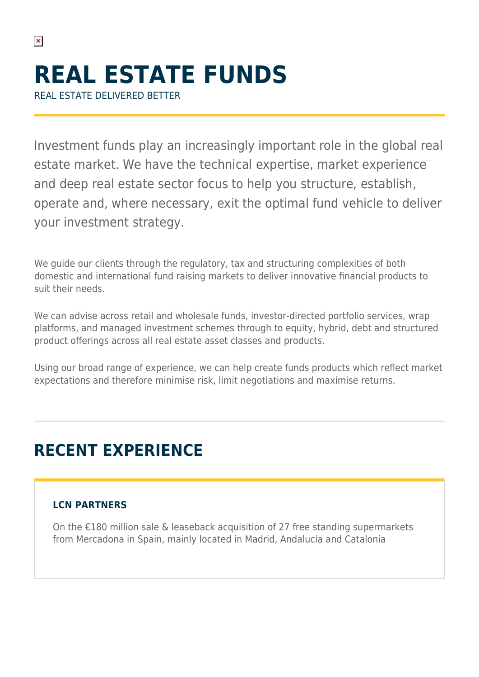$\pmb{\times}$ 

Investment funds play an increasingly important role in the global real estate market. We have the technical expertise, market experience and deep real estate sector focus to help you structure, establish, operate and, where necessary, exit the optimal fund vehicle to deliver your investment strategy.

We guide our clients through the regulatory, tax and structuring complexities of both domestic and international fund raising markets to deliver innovative financial products to suit their needs.

We can advise across retail and wholesale funds, investor-directed portfolio services, wrap platforms, and managed investment schemes through to equity, hybrid, debt and structured product offerings across all real estate asset classes and products.

Using our broad range of experience, we can help create funds products which reflect market expectations and therefore minimise risk, limit negotiations and maximise returns.

# **RECENT EXPERIENCE**

## **LCN PARTNERS**

On the €180 million sale & leaseback acquisition of 27 free standing supermarkets from Mercadona in Spain, mainly located in Madrid, Andalucía and Catalonia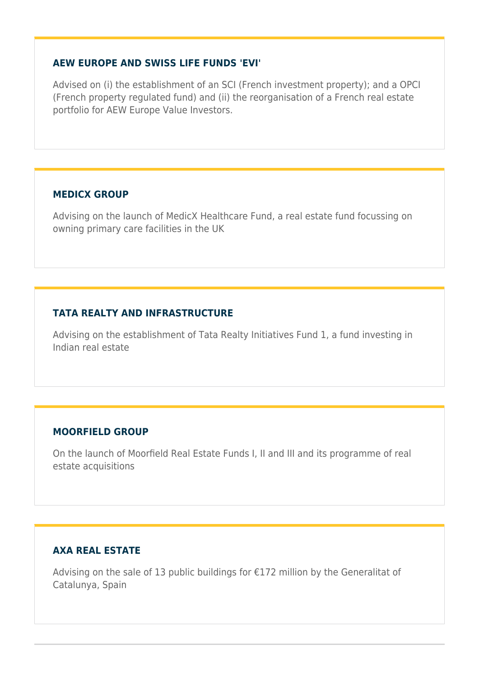#### **AEW EUROPE AND SWISS LIFE FUNDS 'EVI'**

Advised on (i) the establishment of an SCI (French investment property); and a OPCI (French property regulated fund) and (ii) the reorganisation of a French real estate portfolio for AEW Europe Value Investors.

#### **MEDICX GROUP**

Advising on the launch of MedicX Healthcare Fund, a real estate fund focussing on owning primary care facilities in the UK

### **TATA REALTY AND INFRASTRUCTURE**

Advising on the establishment of Tata Realty Initiatives Fund 1, a fund investing in Indian real estate

### **MOORFIELD GROUP**

On the launch of Moorfield Real Estate Funds I, II and III and its programme of real estate acquisitions

### **AXA REAL ESTATE**

Advising on the sale of 13 public buildings for €172 million by the Generalitat of Catalunya, Spain